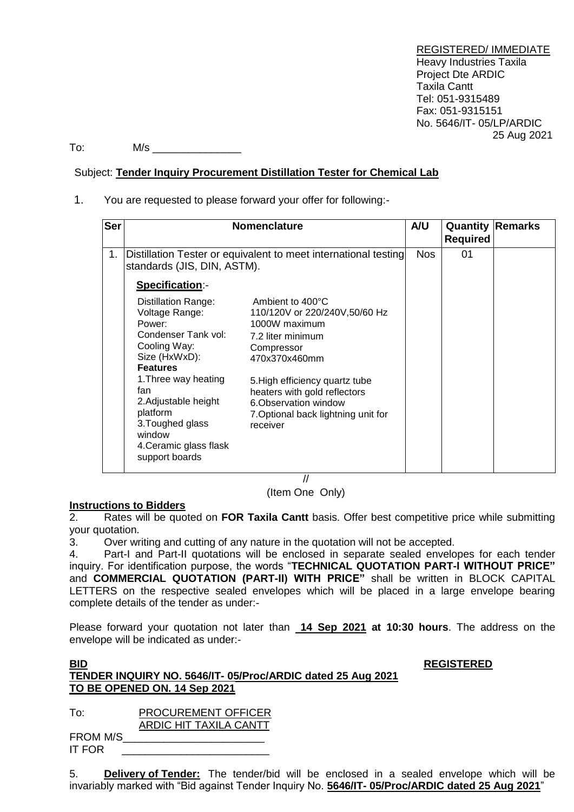REGISTERED/ IMMEDIATE Heavy Industries Taxila Project Dte ARDIC Taxila Cantt Tel: 051-9315489 Fax: 051-9315151 No. 5646/IT- 05/LP/ARDIC 25 Aug 2021

To: M/s \_\_\_\_\_\_\_\_\_\_\_\_\_\_\_

## Subject: **Tender Inquiry Procurement Distillation Tester for Chemical Lab**

1. You are requested to please forward your offer for following:-

| <b>Ser</b> |                                                                                                                                                                                                                                                                                | <b>Nomenclature</b>                                                                                                                                                                                                                                                  | A/U |                 | <b>Quantity Remarks</b> |
|------------|--------------------------------------------------------------------------------------------------------------------------------------------------------------------------------------------------------------------------------------------------------------------------------|----------------------------------------------------------------------------------------------------------------------------------------------------------------------------------------------------------------------------------------------------------------------|-----|-----------------|-------------------------|
|            |                                                                                                                                                                                                                                                                                |                                                                                                                                                                                                                                                                      |     | <b>Required</b> |                         |
| 1.         | Distillation Tester or equivalent to meet international testing<br>standards (JIS, DIN, ASTM).                                                                                                                                                                                 |                                                                                                                                                                                                                                                                      |     | 01              |                         |
|            | Specification:-                                                                                                                                                                                                                                                                |                                                                                                                                                                                                                                                                      |     |                 |                         |
|            | <b>Distillation Range:</b><br>Voltage Range:<br>Power:<br>Condenser Tank vol:<br>Cooling Way:<br>Size (HxWxD):<br><b>Features</b><br>1. Three way heating<br>fan<br>2. Adjustable height<br>platform<br>3. Toughed glass<br>window<br>4. Ceramic glass flask<br>support boards | Ambient to 400°C<br>110/120V or 220/240V,50/60 Hz<br>1000W maximum<br>7.2 liter minimum<br>Compressor<br>470x370x460mm<br>5. High efficiency quartz tube<br>heaters with gold reflectors<br>6. Observation window<br>7. Optional back lightning unit for<br>receiver |     |                 |                         |

// (Item One Only)

## **Instructions to Bidders**

2. Rates will be quoted on **FOR Taxila Cantt** basis. Offer best competitive price while submitting your quotation.

3. Over writing and cutting of any nature in the quotation will not be accepted.

4. Part-I and Part-II quotations will be enclosed in separate sealed envelopes for each tender inquiry. For identification purpose, the words "**TECHNICAL QUOTATION PART-I WITHOUT PRICE"** and **COMMERCIAL QUOTATION (PART-II) WITH PRICE"** shall be written in BLOCK CAPITAL LETTERS on the respective sealed envelopes which will be placed in a large envelope bearing complete details of the tender as under:-

Please forward your quotation not later than **14 Sep 2021 at 10:30 hours**. The address on the envelope will be indicated as under:-

## **BID REGISTERED TENDER INQUIRY NO. 5646/IT- 05/Proc/ARDIC dated 25 Aug 2021 TO BE OPENED ON. 14 Sep 2021**

To: PROCUREMENT OFFICER ARDIC HIT TAXILA CANTT

FROM M/S\_\_\_\_\_\_\_\_\_\_\_\_\_\_\_\_\_\_\_\_\_\_\_\_ IT FOR

5. **Delivery of Tender:** The tender/bid will be enclosed in a sealed envelope which will be invariably marked with "Bid against Tender Inquiry No. **5646/IT- 05/Proc/ARDIC dated 25 Aug 2021**"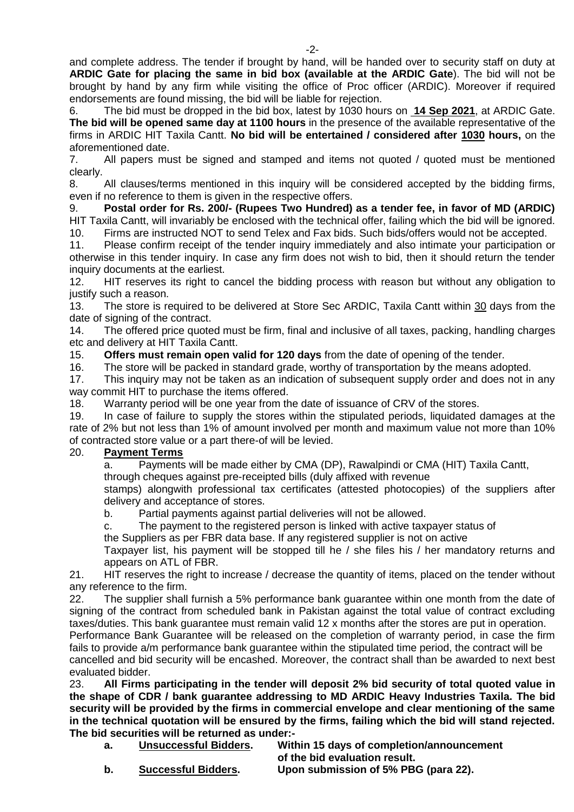and complete address. The tender if brought by hand, will be handed over to security staff on duty at **ARDIC Gate for placing the same in bid box (available at the ARDIC Gate**). The bid will not be brought by hand by any firm while visiting the office of Proc officer (ARDIC). Moreover if required endorsements are found missing, the bid will be liable for rejection.

6. The bid must be dropped in the bid box, latest by 1030 hours on **14 Sep 2021**, at ARDIC Gate. **The bid will be opened same day at 1100 hours** in the presence of the available representative of the firms in ARDIC HIT Taxila Cantt. **No bid will be entertained / considered after 1030 hours,** on the aforementioned date.

7. All papers must be signed and stamped and items not quoted / quoted must be mentioned clearly.

8. All clauses/terms mentioned in this inquiry will be considered accepted by the bidding firms, even if no reference to them is given in the respective offers.

9. **Postal order for Rs. 200/- (Rupees Two Hundred) as a tender fee, in favor of MD (ARDIC)** HIT Taxila Cantt, will invariably be enclosed with the technical offer, failing which the bid will be ignored.

10. Firms are instructed NOT to send Telex and Fax bids. Such bids/offers would not be accepted.<br>11. Please confirm receipt of the tender inquiry immediately and also intimate your participation of Please confirm receipt of the tender inquiry immediately and also intimate your participation or otherwise in this tender inquiry. In case any firm does not wish to bid, then it should return the tender inquiry documents at the earliest.

12. HIT reserves its right to cancel the bidding process with reason but without any obligation to justify such a reason.

13. The store is required to be delivered at Store Sec ARDIC, Taxila Cantt within 30 days from the date of signing of the contract.

14. The offered price quoted must be firm, final and inclusive of all taxes, packing, handling charges etc and delivery at HIT Taxila Cantt.

15. **Offers must remain open valid for 120 days** from the date of opening of the tender.

16. The store will be packed in standard grade, worthy of transportation by the means adopted.

17. This inquiry may not be taken as an indication of subsequent supply order and does not in any way commit HIT to purchase the items offered.

18. Warranty period will be one year from the date of issuance of CRV of the stores.

19. In case of failure to supply the stores within the stipulated periods, liquidated damages at the rate of 2% but not less than 1% of amount involved per month and maximum value not more than 10% of contracted store value or a part there-of will be levied.

## 20. **Payment Terms**

a. Payments will be made either by CMA (DP), Rawalpindi or CMA (HIT) Taxila Cantt,

through cheques against pre-receipted bills (duly affixed with revenue

stamps) alongwith professional tax certificates (attested photocopies) of the suppliers after delivery and acceptance of stores.

b. Partial payments against partial deliveries will not be allowed.

c. The payment to the registered person is linked with active taxpayer status of

the Suppliers as per FBR data base. If any registered supplier is not on active

Taxpayer list, his payment will be stopped till he / she files his / her mandatory returns and appears on ATL of FBR.

21. HIT reserves the right to increase / decrease the quantity of items, placed on the tender without any reference to the firm.

22. The supplier shall furnish a 5% performance bank guarantee within one month from the date of signing of the contract from scheduled bank in Pakistan against the total value of contract excluding taxes/duties. This bank guarantee must remain valid 12 x months after the stores are put in operation.

Performance Bank Guarantee will be released on the completion of warranty period, in case the firm fails to provide a/m performance bank guarantee within the stipulated time period, the contract will be cancelled and bid security will be encashed. Moreover, the contract shall than be awarded to next best

evaluated bidder.

23. **All Firms participating in the tender will deposit 2% bid security of total quoted value in the shape of CDR / bank guarantee addressing to MD ARDIC Heavy Industries Taxila. The bid security will be provided by the firms in commercial envelope and clear mentioning of the same in the technical quotation will be ensured by the firms, failing which the bid will stand rejected. The bid securities will be returned as under:-**

| a. | <b>Unsuccessful Bidders.</b> | Within 15 days of completion/announcement |
|----|------------------------------|-------------------------------------------|
|    |                              |                                           |

**of the bid evaluation result.**

**b. Successful Bidders. Upon submission of 5% PBG (para 22).**